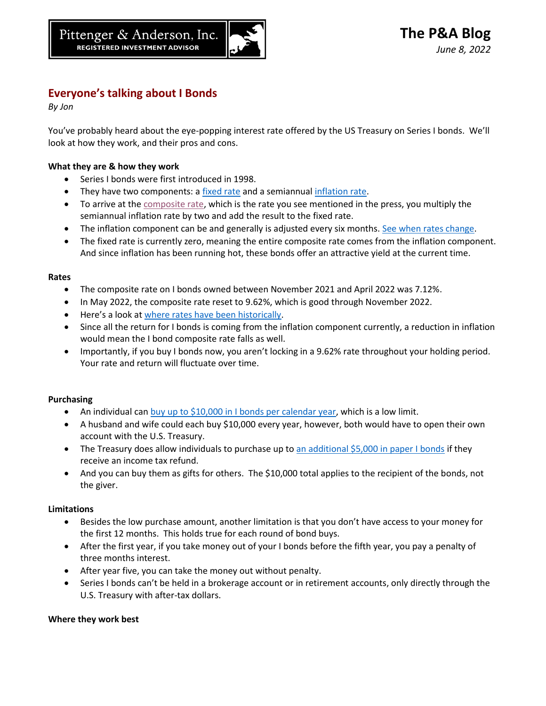

# **Everyone's talking about I Bonds**

*By Jon*

You've probably heard about the eye-popping interest rate offered by the US Treasury on Series I bonds. We'll look at how they work, and their pros and cons.

## **What they are & how they work**

- Series I bonds were first introduced in 1998.
- They have two components: a [fixed rate](https://www.treasurydirect.gov/indiv/research/indepth/ibonds/res_ibonds_iratesandterms.htm#fixed) and a semiannual [inflation rate.](https://www.treasurydirect.gov/indiv/research/indepth/ibonds/res_ibonds_iratesandterms.htm#infl)
- To arrive at the [composite rate,](https://www.treasurydirect.gov/indiv/research/indepth/ibonds/res_ibonds_iratesandterms.htm#comb) which is the rate you see mentioned in the press, you multiply the semiannual inflation rate by two and add the result to the fixed rate.
- The inflation component can be and generally is adjusted every six months. [See when rates change.](https://www.treasurydirect.gov/indiv/research/indepth/ibonds/res_ibonds_iratesandterms.htm#change)
- The fixed rate is currently zero, meaning the entire composite rate comes from the inflation component. And since inflation has been running hot, these bonds offer an attractive yield at the current time.

### **Rates**

- The composite rate on I bonds owned between November 2021 and April 2022 was 7.12%.
- In May 2022, the composite rate reset to 9.62%, which is good through November 2022.
- Here's a look at [where rates have been historically.](https://www.treasurydirect.gov/indiv/research/indepth/ibonds/res_ibonds_iratesandterms.htm#past)
- Since all the return for I bonds is coming from the inflation component currently, a reduction in inflation would mean the I bond composite rate falls as well.
- Importantly, if you buy I bonds now, you aren't locking in a 9.62% rate throughout your holding period. Your rate and return will fluctuate over time.

## **Purchasing**

- An individual can [buy up to \\$10,000 in I bonds per calendar year,](https://www.treasurydirect.gov/indiv/research/indepth/ibonds/res_ibonds_ibuy.htm#:~:text=You%20can%20only%20purchase%20up,take%20up%20to%2016%20weeks.) which is a low limit.
- A husband and wife could each buy \$10,000 every year, however, both would have to open their own account with the U.S. Treasury.
- The Treasury does allow individuals to purchase up to [an additional \\$5,000 in paper I bonds](https://www.treasurydirect.gov/indiv/research/faq/faq_irstaxfeature.htm) if they receive an income tax refund.
- And you can buy them as gifts for others. The \$10,000 total applies to the recipient of the bonds, not the giver.

#### **Limitations**

- Besides the low purchase amount, another limitation is that you don't have access to your money for the first 12 months. This holds true for each round of bond buys.
- After the first year, if you take money out of your I bonds before the fifth year, you pay a penalty of three months interest.
- After year five, you can take the money out without penalty.
- Series I bonds can't be held in a brokerage account or in retirement accounts, only directly through the U.S. Treasury with after-tax dollars.

#### **Where they work best**